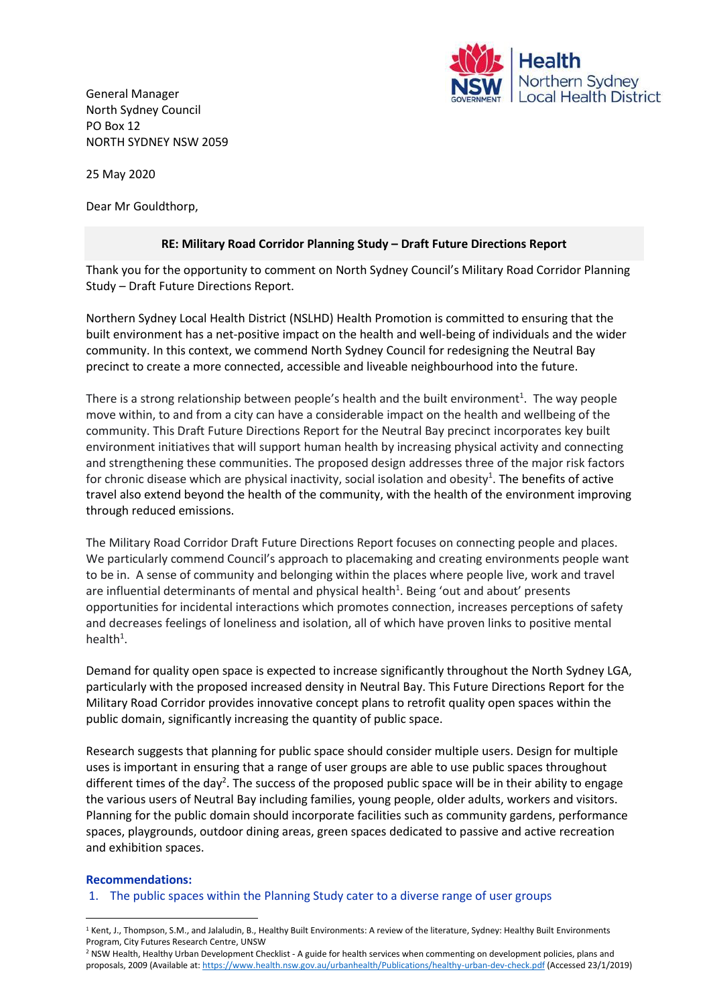

General Manager North Sydney Council PO Box 12 NORTH SYDNEY NSW 2059

25 May 2020

Dear Mr Gouldthorp,

# **RE: Military Road Corridor Planning Study – Draft Future Directions Report**

Thank you for the opportunity to comment on North Sydney Council's Military Road Corridor Planning Study – Draft Future Directions Report.

Northern Sydney Local Health District (NSLHD) Health Promotion is committed to ensuring that the built environment has a net‐positive impact on the health and well-being of individuals and the wider community. In this context, we commend North Sydney Council for redesigning the Neutral Bay precinct to create a more connected, accessible and liveable neighbourhood into the future.

There is a strong relationship between people's health and the built environment<sup>1</sup>. The way people move within, to and from a city can have a considerable impact on the health and wellbeing of the community. This Draft Future Directions Report for the Neutral Bay precinct incorporates key built environment initiatives that will support human health by increasing physical activity and connecting and strengthening these communities. The proposed design addresses three of the major risk factors for chronic disease which are physical inactivity, social isolation and obesity<sup>1</sup>. The benefits of active travel also extend beyond the health of the community, with the health of the environment improving through reduced emissions.

The Military Road Corridor Draft Future Directions Report focuses on connecting people and places. We particularly commend Council's approach to placemaking and creating environments people want to be in. A sense of community and belonging within the places where people live, work and travel are influential determinants of mental and physical health<sup>1</sup>. Being 'out and about' presents opportunities for incidental interactions which promotes connection, increases perceptions of safety and decreases feelings of loneliness and isolation, all of which have proven links to positive mental health $1$ .

Demand for quality open space is expected to increase significantly throughout the North Sydney LGA, particularly with the proposed increased density in Neutral Bay. This Future Directions Report for the Military Road Corridor provides innovative concept plans to retrofit quality open spaces within the public domain, significantly increasing the quantity of public space.

Research suggests that planning for public space should consider multiple users. Design for multiple uses is important in ensuring that a range of user groups are able to use public spaces throughout different times of the day<sup>2</sup>. The success of the proposed public space will be in their ability to engage the various users of Neutral Bay including families, young people, older adults, workers and visitors. Planning for the public domain should incorporate facilities such as community gardens, performance spaces, playgrounds, outdoor dining areas, green spaces dedicated to passive and active recreation and exhibition spaces.

#### **Recommendations:**

1. The public spaces within the Planning Study cater to a diverse range of user groups

**<sup>.</sup>**  $1$  Kent, J., Thompson, S.M., and Jalaludin, B., Healthy Built Environments: A review of the literature, Sydney: Healthy Built Environments Program, City Futures Research Centre, UNSW

<sup>2</sup> NSW Health, Healthy Urban Development Checklist - A guide for health services when commenting on development policies, plans and proposals, 2009 (Available at[: https://www.health.nsw.gov.au/urbanhealth/Publications/healthy-urban-dev-check.pdf](https://www.health.nsw.gov.au/urbanhealth/Publications/healthy-urban-dev-check.pdf) (Accessed 23/1/2019)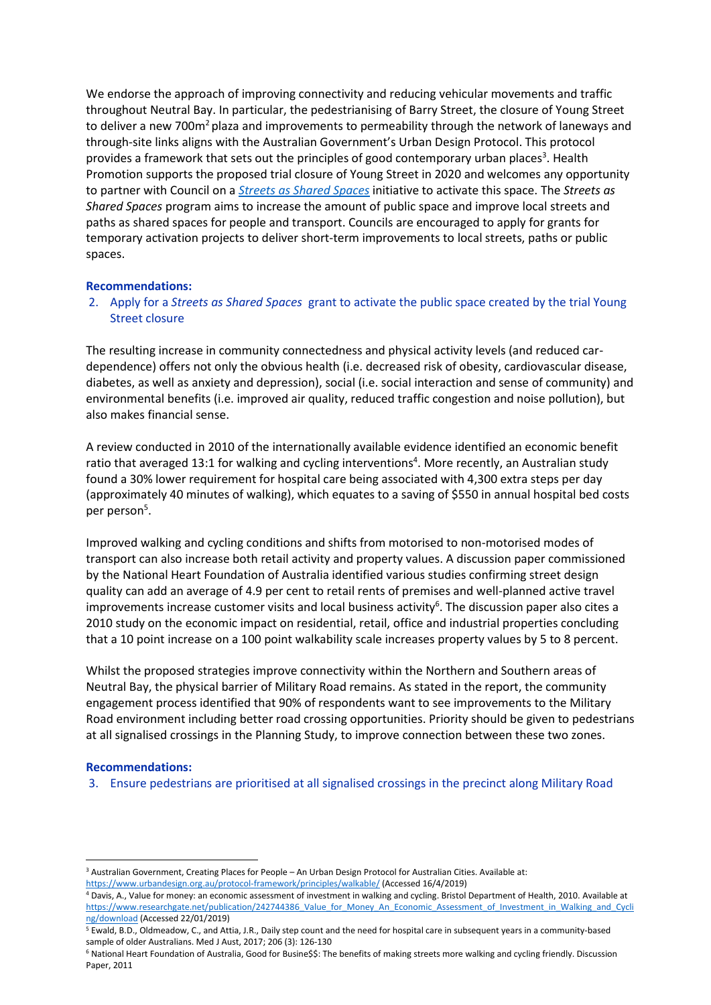We endorse the approach of improving connectivity and reducing vehicular movements and traffic throughout Neutral Bay. In particular, the pedestrianising of Barry Street, the closure of Young Street to deliver a new 700m<sup>2</sup> plaza and improvements to permeability through the network of laneways and through-site links aligns with the Australian Government's Urban Design Protocol. This protocol provides a framework that sets out the principles of good contemporary urban places<sup>3</sup>. Health Promotion supports the proposed trial closure of Young Street in 2020 and welcomes any opportunity to partner with Council on a *[Streets as Shared Spaces](https://www.dpie.nsw.gov.au/premiers-priorities/great-public-spaces/streets/grants-for-councils)* initiative to activate this space. The *Streets as Shared Spaces* program aims to increase the amount of public space and improve local streets and paths as shared spaces for people and transport. Councils are encouraged to apply for grants for temporary activation projects to deliver short-term improvements to local streets, paths or public spaces.

## **Recommendations:**

2. Apply for a *Streets as Shared Spaces* grant to activate the public space created by the trial Young Street closure

The resulting increase in community connectedness and physical activity levels (and reduced cardependence) offers not only the obvious health (i.e. decreased risk of obesity, cardiovascular disease, diabetes, as well as anxiety and depression), social (i.e. social interaction and sense of community) and environmental benefits (i.e. improved air quality, reduced traffic congestion and noise pollution), but also makes financial sense.

A review conducted in 2010 of the internationally available evidence identified an economic benefit ratio that averaged 13:1 for walking and cycling interventions<sup>4</sup>. More recently, an Australian study found a 30% lower requirement for hospital care being associated with 4,300 extra steps per day (approximately 40 minutes of walking), which equates to a saving of \$550 in annual hospital bed costs per person<sup>5</sup>.

Improved walking and cycling conditions and shifts from motorised to non-motorised modes of transport can also increase both retail activity and property values. A discussion paper commissioned by the National Heart Foundation of Australia identified various studies confirming street design quality can add an average of 4.9 per cent to retail rents of premises and well-planned active travel improvements increase customer visits and local business activity<sup>6</sup>. The discussion paper also cites a 2010 study on the economic impact on residential, retail, office and industrial properties concluding that a 10 point increase on a 100 point walkability scale increases property values by 5 to 8 percent.

Whilst the proposed strategies improve connectivity within the Northern and Southern areas of Neutral Bay, the physical barrier of Military Road remains. As stated in the report, the community engagement process identified that 90% of respondents want to see improvements to the Military Road environment including better road crossing opportunities. Priority should be given to pedestrians at all signalised crossings in the Planning Study, to improve connection between these two zones.

# **Recommendations:**

1

3. Ensure pedestrians are prioritised at all signalised crossings in the precinct along Military Road

<sup>3</sup> Australian Government, Creating Places for People – An Urban Design Protocol for Australian Cities. Available at: <https://www.urbandesign.org.au/protocol-framework/principles/walkable/> (Accessed 16/4/2019)

<sup>4</sup> Davis, A., Value for money: an economic assessment of investment in walking and cycling. Bristol Department of Health, 2010. Available at [https://www.researchgate.net/publication/242744386\\_Value\\_for\\_Money\\_An\\_Economic\\_Assessment\\_of\\_Investment\\_in\\_Walking\\_and\\_Cycli](https://www.researchgate.net/publication/242744386_Value_for_Money_An_Economic_Assessment_of_Investment_in_Walking_and_Cycling/download) [ng/download](https://www.researchgate.net/publication/242744386_Value_for_Money_An_Economic_Assessment_of_Investment_in_Walking_and_Cycling/download) (Accessed 22/01/2019)

<sup>5</sup> Ewald, B.D., Oldmeadow, C., and Attia, J.R., Daily step count and the need for hospital care in subsequent years in a community-based sample of older Australians. Med J Aust, 2017; 206 (3): 126-130

<sup>6</sup> National Heart Foundation of Australia, Good for Busine\$\$: The benefits of making streets more walking and cycling friendly. Discussion Paper, 2011